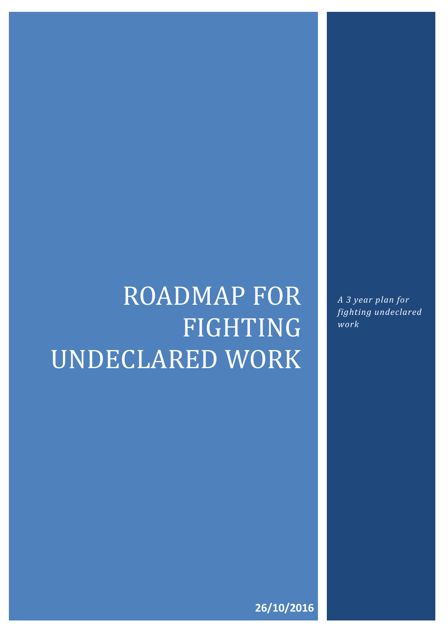# ROADMAP FOR FIGHTING UNDECLARED WORK

*A 3 year plan for fighting undeclared work*

**26/10/2016**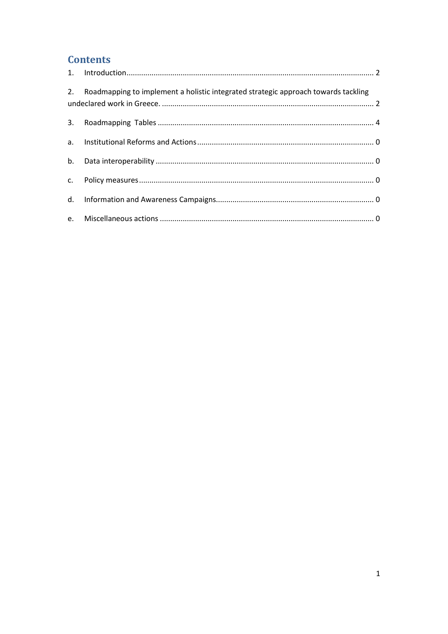#### **Contents**

| 2. Roadmapping to implement a holistic integrated strategic approach towards tackling |  |
|---------------------------------------------------------------------------------------|--|
|                                                                                       |  |
|                                                                                       |  |
|                                                                                       |  |
|                                                                                       |  |
|                                                                                       |  |
|                                                                                       |  |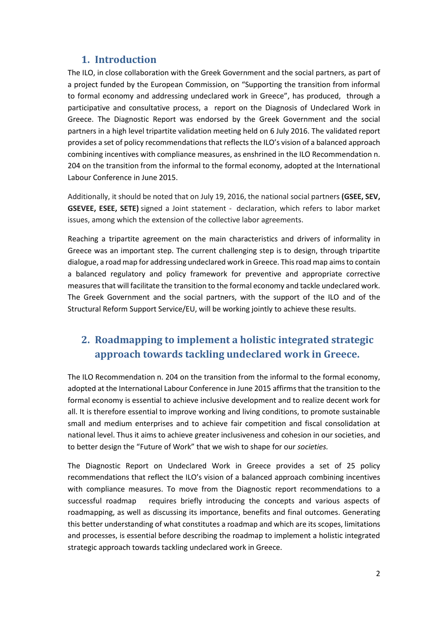#### **1. Introduction**

The ILO, in close collaboration with the Greek Government and the social partners, as part of a project funded by the European Commission, on "Supporting the transition from informal to formal economy and addressing undeclared work in Greece", has produced, through a participative and consultative process, a report on the Diagnosis of Undeclared Work in Greece. The Diagnostic Report was endorsed by the Greek Government and the social partners in a high level tripartite validation meeting held on 6 July 2016. The validated report provides a set of policy recommendations that reflects the ILO's vision of a balanced approach combining incentives with compliance measures, as enshrined in the ILO Recommendation n. 204 on the transition from the informal to the formal economy, adopted at the International Labour Conference in June 2015.

Additionally, it should be noted that on July 19, 2016, the national social partners **(GSEE, SEV, GSEVEE, ESEE, SETE)** signed a Joint statement - declaration, which refers to labor market issues, among which the extension of the collective labor agreements.

Reaching a tripartite agreement on the main characteristics and drivers of informality in Greece was an important step. The current challenging step is to design, through tripartite dialogue, a road map for addressing undeclared work in Greece. This road map aims to contain a balanced regulatory and policy framework for preventive and appropriate corrective measures that will facilitate the transition to the formal economy and tackle undeclared work. The Greek Government and the social partners, with the support of the ILO and of the Structural Reform Support Service/EU, will be working jointly to achieve these results.

#### **2. Roadmapping to implement a holistic integrated strategic approach towards tackling undeclared work in Greece.**

The ILO Recommendation n. 204 on the transition from the informal to the formal economy, adopted at the International Labour Conference in June 2015 affirms that the transition to the formal economy is essential to achieve inclusive development and to realize decent work for all. It is therefore essential to improve working and living conditions, to promote sustainable small and medium enterprises and to achieve fair competition and fiscal consolidation at national level. Thus it aims to achieve greater inclusiveness and cohesion in our societies, and to better design the "Future of Work" that we wish to shape for our *societies.* 

The Diagnostic Report on Undeclared Work in Greece provides a set of 25 policy recommendations that reflect the ILO's vision of a balanced approach combining incentives with compliance measures. To move from the Diagnostic report recommendations to a successful roadmap requires briefly introducing the concepts and various aspects of roadmapping, as well as discussing its importance, benefits and final outcomes. Generating this better understanding of what constitutes a roadmap and which are its scopes, limitations and processes, is essential before describing the roadmap to implement a holistic integrated strategic approach towards tackling undeclared work in Greece.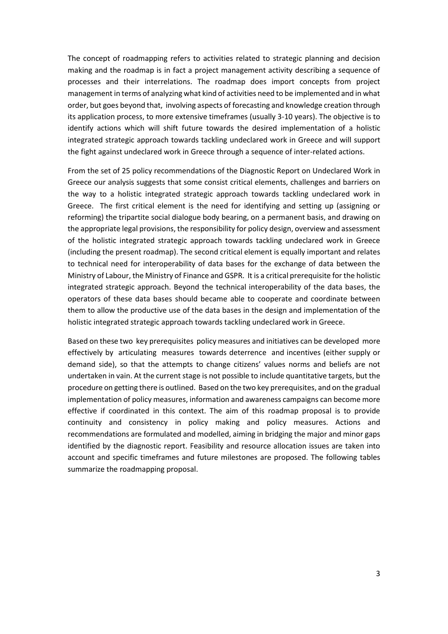The concept of roadmapping refers to activities related to strategic planning and decision making and the roadmap is in fact a project management activity describing a sequence of processes and their interrelations. The roadmap does import concepts from project management in terms of analyzing what kind of activities need to be implemented and in what order, but goes beyond that, involving aspects of forecasting and knowledge creation through its application process, to more extensive timeframes (usually 3-10 years). The objective is to identify actions which will shift future towards the desired implementation of a holistic integrated strategic approach towards tackling undeclared work in Greece and will support the fight against undeclared work in Greece through a sequence of inter-related actions.

From the set of 25 policy recommendations of the Diagnostic Report on Undeclared Work in Greece our analysis suggests that some consist critical elements, challenges and barriers on the way to a holistic integrated strategic approach towards tackling undeclared work in Greece. The first critical element is the need for identifying and setting up (assigning or reforming) the tripartite social dialogue body bearing, on a permanent basis, and drawing on the appropriate legal provisions, the responsibility for policy design, overview and assessment of the holistic integrated strategic approach towards tackling undeclared work in Greece (including the present roadmap). The second critical element is equally important and relates to technical need for interoperability of data bases for the exchange of data between the Ministry of Labour, the Ministry of Finance and GSPR. It is a critical prerequisite for the holistic integrated strategic approach. Beyond the technical interoperability of the data bases, the operators of these data bases should became able to cooperate and coordinate between them to allow the productive use of the data bases in the design and implementation of the holistic integrated strategic approach towards tackling undeclared work in Greece.

Based on these two key prerequisites policy measures and initiatives can be developed more effectively by articulating measures towards deterrence and incentives (either supply or demand side), so that the attempts to change citizens' values norms and beliefs are not undertaken in vain. At the current stage is not possible to include quantitative targets, but the procedure on getting there is outlined. Based on the two key prerequisites, and on the gradual implementation of policy measures, information and awareness campaigns can become more effective if coordinated in this context. The aim of this roadmap proposal is to provide continuity and consistency in policy making and policy measures. Actions and recommendations are formulated and modelled, aiming in bridging the major and minor gaps identified by the diagnostic report. Feasibility and resource allocation issues are taken into account and specific timeframes and future milestones are proposed. The following tables summarize the roadmapping proposal.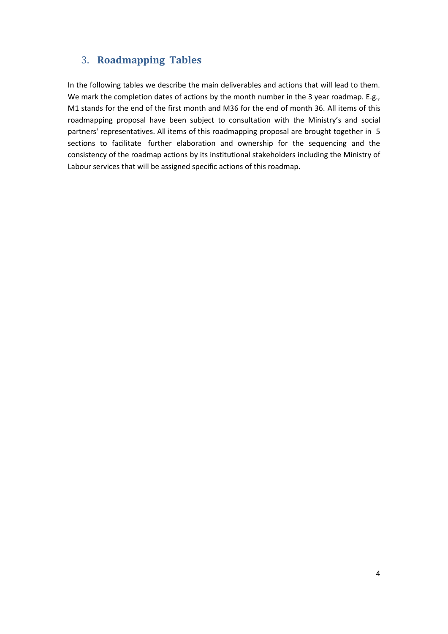#### 3. **Roadmapping Tables**

In the following tables we describe the main deliverables and actions that will lead to them. We mark the completion dates of actions by the month number in the 3 year roadmap. E.g., M1 stands for the end of the first month and M36 for the end of month 36. All items of this roadmapping proposal have been subject to consultation with the Ministry's and social partners' representatives. All items of this roadmapping proposal are brought together in 5 sections to facilitate further elaboration and ownership for the sequencing and the consistency of the roadmap actions by its institutional stakeholders including the Ministry of Labour services that will be assigned specific actions of this roadmap.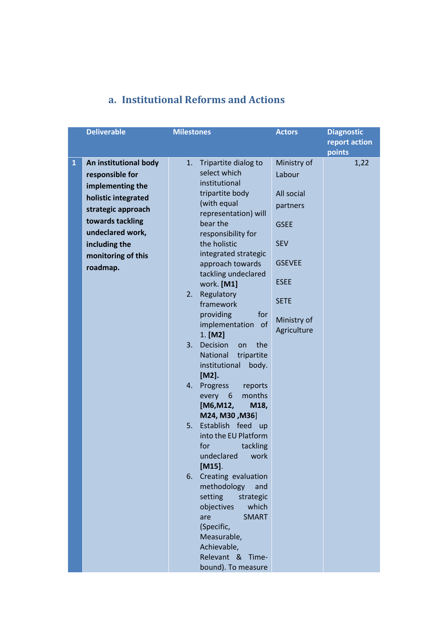|              | <b>Deliverable</b>    | <b>Milestones</b>                                                                                                                                                                                           | <b>Actors</b>              | <b>Diagnostic</b><br>report action<br>points |
|--------------|-----------------------|-------------------------------------------------------------------------------------------------------------------------------------------------------------------------------------------------------------|----------------------------|----------------------------------------------|
| $\mathbf{1}$ | An institutional body | Tripartite dialog to<br>1.                                                                                                                                                                                  | Ministry of                | 1,22                                         |
|              | responsible for       | select which                                                                                                                                                                                                | Labour                     |                                              |
|              | implementing the      | institutional                                                                                                                                                                                               |                            |                                              |
|              | holistic integrated   | tripartite body                                                                                                                                                                                             | All social                 |                                              |
|              | strategic approach    | (with equal<br>representation) will                                                                                                                                                                         | partners                   |                                              |
|              | towards tackling      | bear the                                                                                                                                                                                                    | <b>GSEE</b>                |                                              |
|              | undeclared work,      | responsibility for                                                                                                                                                                                          |                            |                                              |
|              | including the         | the holistic                                                                                                                                                                                                | <b>SEV</b>                 |                                              |
|              | monitoring of this    | integrated strategic                                                                                                                                                                                        |                            |                                              |
|              | roadmap.              | approach towards                                                                                                                                                                                            | <b>GSEVEE</b>              |                                              |
|              |                       | tackling undeclared<br>work. [M1]                                                                                                                                                                           | <b>ESEE</b>                |                                              |
|              |                       | Regulatory<br>2.<br>framework                                                                                                                                                                               | <b>SETE</b>                |                                              |
|              |                       | providing<br>for<br>implementation<br>of<br>$1.$ [M2]                                                                                                                                                       | Ministry of<br>Agriculture |                                              |
|              |                       | 3.<br>Decision<br>the<br>on<br>National<br>tripartite<br>institutional<br>body.                                                                                                                             |                            |                                              |
|              |                       | [M2].<br>4. Progress<br>reports<br>months<br>every<br>6<br>[M6,M12,<br>M18,                                                                                                                                 |                            |                                              |
|              |                       | M24, M30, M36]<br>5.<br>Establish feed up<br>into the EU Platform<br>for<br>tackling<br>undeclared<br>work<br>$[M15]$ .                                                                                     |                            |                                              |
|              |                       | Creating evaluation<br>6.<br>methodology<br>and<br>setting<br>strategic<br>which<br>objectives<br><b>SMART</b><br>are<br>(Specific,<br>Measurable,<br>Achievable,<br>Relevant & Time-<br>bound). To measure |                            |                                              |

### **a. Institutional Reforms and Actions**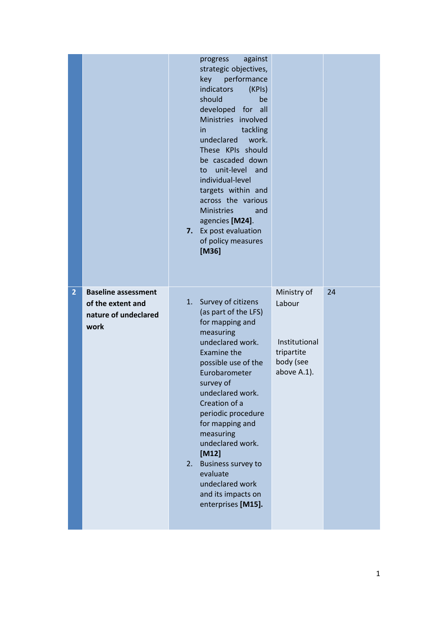|                |                                                                                 | against<br>progress<br>strategic objectives,<br>key performance<br>indicators<br>(KPIs)<br>should<br>be<br>developed for all<br>Ministries involved<br>tackling<br>in.<br>undeclared work.<br>These KPIs should<br>be cascaded down<br>unit-level and<br>to<br>individual-level<br>targets within and<br>across the various<br><b>Ministries</b><br>and<br>agencies [M24].<br>Ex post evaluation<br>7.<br>of policy measures<br>[M36] |                                                                                  |    |
|----------------|---------------------------------------------------------------------------------|---------------------------------------------------------------------------------------------------------------------------------------------------------------------------------------------------------------------------------------------------------------------------------------------------------------------------------------------------------------------------------------------------------------------------------------|----------------------------------------------------------------------------------|----|
| $\overline{2}$ | <b>Baseline assessment</b><br>of the extent and<br>nature of undeclared<br>work | 1. Survey of citizens<br>(as part of the LFS)<br>for mapping and<br>measuring<br>undeclared work.<br>Examine the<br>possible use of the<br>Eurobarometer<br>survey of<br>undeclared work.<br>Creation of a<br>periodic procedure<br>for mapping and<br>measuring<br>undeclared work.<br>$[M12]$<br><b>Business survey to</b><br>2.<br>evaluate<br>undeclared work<br>and its impacts on<br>enterprises [M15].                         | Ministry of<br>Labour<br>Institutional<br>tripartite<br>body (see<br>above A.1). | 24 |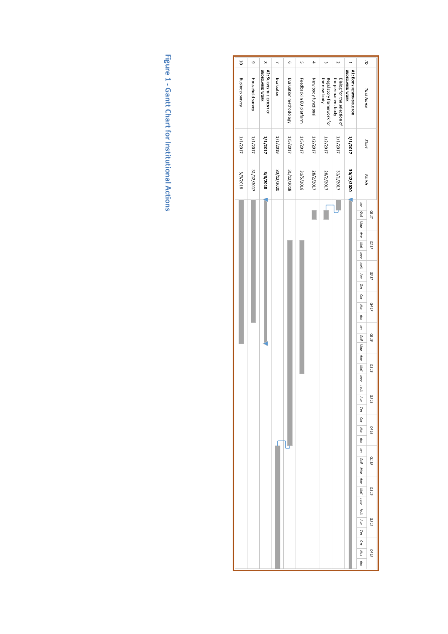| 5               | $\circ$          | $\infty$                                           | $\overline{ }$ | ō                      | UΠ                      | $\ddot{\phantom{a}}$ | $\omega$                                 | $\sim$                                            | $\overline{a}$                                     | $\vec{a}$                                                                                                                                                                                                                                                                                                                                                                       |
|-----------------|------------------|----------------------------------------------------|----------------|------------------------|-------------------------|----------------------|------------------------------------------|---------------------------------------------------|----------------------------------------------------|---------------------------------------------------------------------------------------------------------------------------------------------------------------------------------------------------------------------------------------------------------------------------------------------------------------------------------------------------------------------------------|
| Business survey | Household survey | A2: SURVEY THE EXTENT OF<br><b>UNDECLARED WORK</b> | Evaluation     | Evaluation methodology | Feedback in EU platform | New body functional  | the new body<br>Regulatory framework for | the permanent body<br>Dialog for the selection of | <b>UNDECLARED WORK</b><br>A1: BODY RESPONSIBLE FOR | <b>Task Name</b>                                                                                                                                                                                                                                                                                                                                                                |
| 1/1/2017        | 1/1/2017         | 1/1/2017                                           | 1/1/2019       | 1/5/2017               | 1/5/2017                | 1/2/2017             | 1/2/2017                                 | 1/1/2017                                          | 1/1/2017                                           | Start                                                                                                                                                                                                                                                                                                                                                                           |
| 3/3/2018        | 31/12/2017       | 3/3/2018                                           | 30/12/2020     | 31/12/2018             | 31/5/2018               | 28/2/2017            | 28/2/2017                                | 21/1/2017                                         | 30/12/2020                                         | Finish                                                                                                                                                                                                                                                                                                                                                                          |
|                 |                  |                                                    |                |                        |                         | I                    |                                          | լ                                                 |                                                    | lav<br>DeB Map Arip Mai louv lout<br>Q1 17<br>02 17<br>Auy Zen Okt Noe Aek<br><b>Q317</b><br>Q4 17<br>kav Øeß Map Artp Maï louv louk<br>01 18<br>$\ensuremath{Q2}\xspace$ 18<br><b>Q318</b><br>$40\mu$<br>Σεπ<br>OKT<br>Q4 18<br>Noe<br>Δεκ<br>lav<br>6110<br>$\alpha e \theta$<br>Map<br>Aπρ<br>61 ZO<br>Mai<br>louv loul<br>61 3 D<br>ÅИ<br>Σεπ<br>Okt<br>6t tO<br>Noe<br>Δεκ |

**Figure 1 - Gantt Chart for Institutional Actions**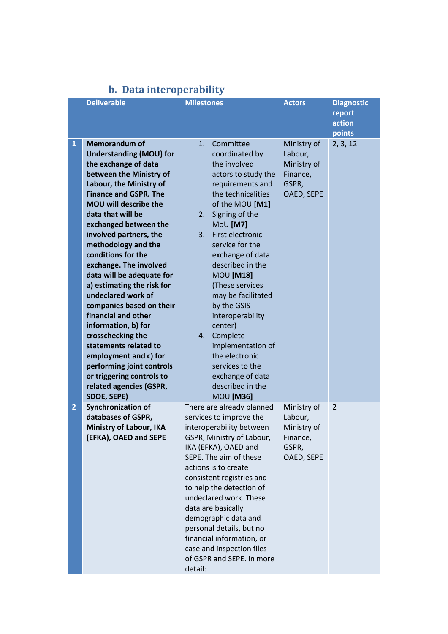|                | <b>Deliverable</b>                                                                                                                                                                                                                                                                                                                                                                                                                                                                                                                                                                                                                                                  | <b>Milestones</b>                                                                                                                                                                                                                                                                                                                                                                                                                                                                             | <b>Actors</b>                                                            | <b>Diagnostic</b><br>report<br>action |
|----------------|---------------------------------------------------------------------------------------------------------------------------------------------------------------------------------------------------------------------------------------------------------------------------------------------------------------------------------------------------------------------------------------------------------------------------------------------------------------------------------------------------------------------------------------------------------------------------------------------------------------------------------------------------------------------|-----------------------------------------------------------------------------------------------------------------------------------------------------------------------------------------------------------------------------------------------------------------------------------------------------------------------------------------------------------------------------------------------------------------------------------------------------------------------------------------------|--------------------------------------------------------------------------|---------------------------------------|
| $\mathbf{1}$   | <b>Memorandum of</b><br><b>Understanding (MOU) for</b><br>the exchange of data<br>between the Ministry of<br>Labour, the Ministry of<br><b>Finance and GSPR. The</b><br>MOU will describe the<br>data that will be<br>exchanged between the<br>involved partners, the<br>methodology and the<br>conditions for the<br>exchange. The involved<br>data will be adequate for<br>a) estimating the risk for<br>undeclared work of<br>companies based on their<br>financial and other<br>information, b) for<br>crosschecking the<br>statements related to<br>employment and c) for<br>performing joint controls<br>or triggering controls to<br>related agencies (GSPR, | 1.<br>Committee<br>coordinated by<br>the involved<br>actors to study the<br>requirements and<br>the technicalities<br>of the MOU [M1]<br>Signing of the<br>2.<br>MoU [M7]<br>First electronic<br>3.<br>service for the<br>exchange of data<br>described in the<br><b>MOU [M18]</b><br>(These services<br>may be facilitated<br>by the GSIS<br>interoperability<br>center)<br>Complete<br>4.<br>implementation of<br>the electronic<br>services to the<br>exchange of data<br>described in the | Ministry of<br>Labour,<br>Ministry of<br>Finance,<br>GSPR,<br>OAED, SEPE | points<br>2, 3, 12                    |
| $\overline{2}$ | SDOE, SEPE)<br><b>Synchronization of</b><br>databases of GSPR,<br>Ministry of Labour, IKA<br>(EFKA), OAED and SEPE                                                                                                                                                                                                                                                                                                                                                                                                                                                                                                                                                  | <b>MOU [M36]</b><br>There are already planned<br>services to improve the<br>interoperability between<br>GSPR, Ministry of Labour,<br>IKA (EFKA), OAED and<br>SEPE. The aim of these<br>actions is to create<br>consistent registries and<br>to help the detection of<br>undeclared work. These<br>data are basically<br>demographic data and<br>personal details, but no<br>financial information, or<br>case and inspection files<br>of GSPR and SEPE. In more<br>detail:                    | Ministry of<br>Labour,<br>Ministry of<br>Finance,<br>GSPR,<br>OAED, SEPE | 2                                     |

# **b. Data interoperability**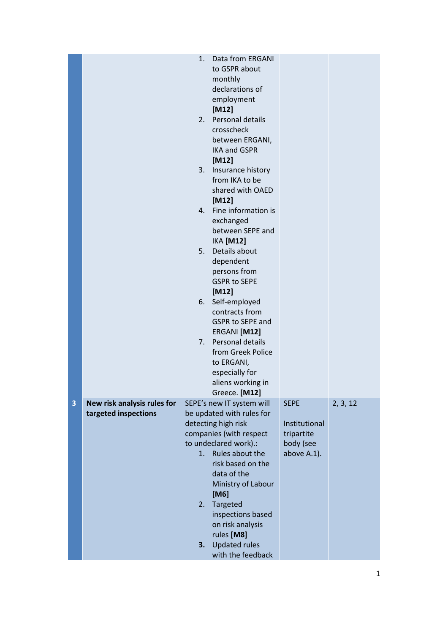|   |                                                     | 1.<br>3.<br>4.<br>5.<br>6.<br>7. | Data from ERGANI<br>to GSPR about<br>monthly<br>declarations of<br>employment<br>$[M12]$<br>2. Personal details<br>crosscheck<br>between ERGANI,<br><b>IKA and GSPR</b><br>$[M12]$<br>Insurance history<br>from IKA to be<br>shared with OAED<br>$[M12]$<br>Fine information is<br>exchanged<br>between SEPE and<br><b>IKA [M12]</b><br>Details about<br>dependent<br>persons from<br><b>GSPR to SEPE</b><br>$[M12]$<br>Self-employed<br>contracts from<br><b>GSPR to SEPE and</b><br>ERGANI [M12]<br>Personal details<br>from Greek Police<br>to ERGANI,<br>especially for<br>aliens working in<br>Greece. [M12] |                                                         |          |
|---|-----------------------------------------------------|----------------------------------|-------------------------------------------------------------------------------------------------------------------------------------------------------------------------------------------------------------------------------------------------------------------------------------------------------------------------------------------------------------------------------------------------------------------------------------------------------------------------------------------------------------------------------------------------------------------------------------------------------------------|---------------------------------------------------------|----------|
| 3 | New risk analysis rules for<br>targeted inspections |                                  | SEPE's new IT system will<br>be updated with rules for                                                                                                                                                                                                                                                                                                                                                                                                                                                                                                                                                            | <b>SEPE</b>                                             | 2, 3, 12 |
|   |                                                     | 1.<br>3.                         | detecting high risk<br>companies (with respect<br>to undeclared work).:<br>Rules about the<br>risk based on the<br>data of the<br>Ministry of Labour<br>[M6]<br>2. Targeted<br>inspections based<br>on risk analysis<br>rules [M8]<br><b>Updated rules</b><br>with the feedback                                                                                                                                                                                                                                                                                                                                   | Institutional<br>tripartite<br>body (see<br>above A.1). |          |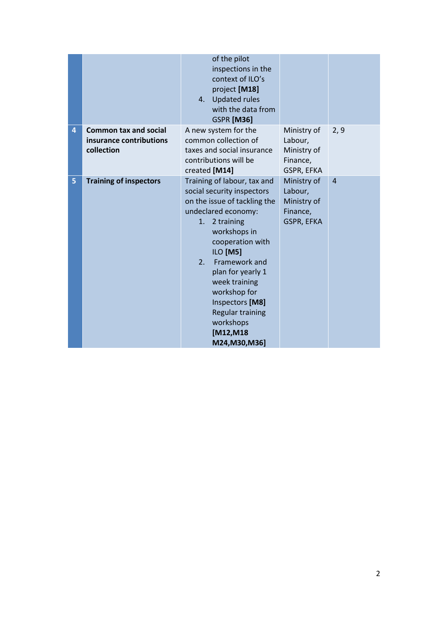|   |                                                                       | of the pilot<br>inspections in the<br>context of ILO's<br>project [M18]<br>4. Updated rules<br>with the data from<br><b>GSPR [M36]</b>                                                                                                                                                                                                                                 |                                                                 |                |
|---|-----------------------------------------------------------------------|------------------------------------------------------------------------------------------------------------------------------------------------------------------------------------------------------------------------------------------------------------------------------------------------------------------------------------------------------------------------|-----------------------------------------------------------------|----------------|
| 4 | <b>Common tax and social</b><br>insurance contributions<br>collection | A new system for the<br>common collection of<br>taxes and social insurance<br>contributions will be<br>created [M14]                                                                                                                                                                                                                                                   | Ministry of<br>Labour,<br>Ministry of<br>Finance,<br>GSPR, EFKA | 2, 9           |
| 5 | <b>Training of inspectors</b>                                         | Training of labour, tax and<br>social security inspectors<br>on the issue of tackling the<br>undeclared economy:<br>2 training<br>1.<br>workshops in<br>cooperation with<br>ILO [M5]<br>Framework and<br>2 <sub>1</sub><br>plan for yearly 1<br>week training<br>workshop for<br>Inspectors [M8]<br><b>Regular training</b><br>workshops<br>[M12,M18<br>M24, M30, M36] | Ministry of<br>Labour,<br>Ministry of<br>Finance,<br>GSPR, EFKA | $\overline{4}$ |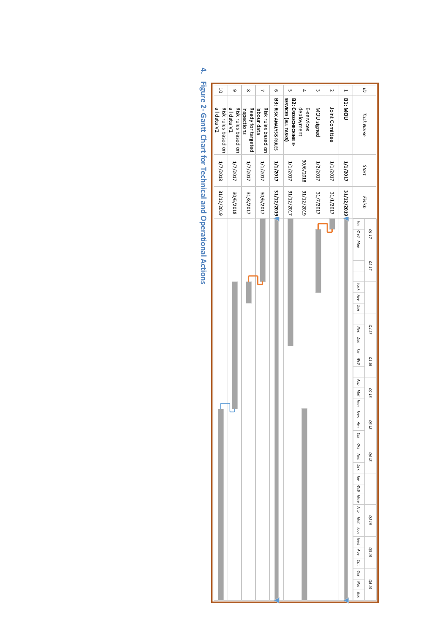| 50                                 | G                                  | $\infty$                          | $\overline{\phantom{0}}$           | ō                              | UΠ                                           | 4                        | $\omega$   | $\sim$         | $\overline{a}$ | ā                           |              |
|------------------------------------|------------------------------------|-----------------------------------|------------------------------------|--------------------------------|----------------------------------------------|--------------------------|------------|----------------|----------------|-----------------------------|--------------|
| all data V2<br>Risk rules based on | all data V1<br>Risk rules based on | inspections<br>Ready for targeted | Risk rules based on<br>labour data | <b>B3: RISK ANALYSIS RULES</b> | SERVICES (ALL TASKS)<br>B2: CROSSCHECKING E- | deployment<br>E-services | MOU signed | Joint Comittee | <b>B1: MOU</b> | <b>Task Name</b>            |              |
| 1/7/2018                           | 1/7/2017                           | 1/7/2017                          | 1/1/2017                           | 1/1/2017                       | 1/1/2017                                     | 30/6/2018                | 1/2/2017   | 1/1/2017       | 1/1/2017       | Start                       |              |
| S1/12/2019                         | 30/6/2018                          | 31/8/2017                         | 30/6/2017                          | 31/12/2019                     | 31/12/2017                                   | 31/12/2019               | 21/7/2017  | 31/1011        | 31/12/2019     | Finish                      |              |
|                                    |                                    |                                   |                                    |                                |                                              |                          |            |                |                | lav                         | $Q1\;17$     |
|                                    |                                    |                                   |                                    |                                |                                              |                          |            |                |                | DEB Map                     |              |
|                                    |                                    |                                   |                                    |                                |                                              |                          |            |                |                |                             | $\Omega2$ 17 |
|                                    |                                    |                                   |                                    |                                |                                              |                          |            |                |                |                             |              |
|                                    |                                    |                                   |                                    |                                |                                              |                          |            |                |                |                             |              |
|                                    |                                    |                                   |                                    |                                |                                              |                          |            |                |                | lout Auy Zen                |              |
|                                    |                                    |                                   |                                    |                                |                                              |                          |            |                |                |                             |              |
|                                    |                                    |                                   |                                    |                                |                                              |                          |            |                |                |                             | Q4 17        |
|                                    |                                    |                                   |                                    |                                |                                              |                          |            |                |                | Noe Aek lav OeB             |              |
|                                    |                                    |                                   |                                    |                                |                                              |                          |            |                |                |                             |              |
|                                    |                                    |                                   |                                    |                                |                                              |                          |            |                |                |                             | 01 18        |
|                                    |                                    |                                   |                                    |                                |                                              |                          |            |                |                |                             |              |
|                                    |                                    |                                   |                                    |                                |                                              |                          |            |                |                | Arp Mai low low             | <b>Q2 18</b> |
|                                    |                                    |                                   |                                    |                                |                                              |                          |            |                |                |                             |              |
|                                    |                                    |                                   |                                    |                                |                                              |                          |            |                |                |                             |              |
|                                    |                                    |                                   |                                    |                                |                                              |                          |            |                |                | Any                         | 03 18        |
|                                    |                                    |                                   |                                    |                                |                                              |                          |            |                |                | $\Sigma\varepsilon\pi$      |              |
|                                    |                                    |                                   |                                    |                                |                                              |                          |            |                |                | OKT                         |              |
|                                    |                                    |                                   |                                    |                                |                                              |                          |            |                |                | Noe                         | Q4 18        |
|                                    |                                    |                                   |                                    |                                |                                              |                          |            |                |                | $\Delta \varepsilon \kappa$ |              |
|                                    |                                    |                                   |                                    |                                |                                              |                          |            |                |                | lav                         |              |
|                                    |                                    |                                   |                                    |                                |                                              |                          |            |                |                |                             |              |
|                                    |                                    |                                   |                                    |                                |                                              |                          |            |                |                | DEB Map Anp                 |              |
|                                    |                                    |                                   |                                    |                                |                                              |                          |            |                |                |                             | <b>Q219</b>  |
|                                    |                                    |                                   |                                    |                                |                                              |                          |            |                |                | Mai louv lou $\lambda$      |              |
|                                    |                                    |                                   |                                    |                                |                                              |                          |            |                |                |                             |              |
|                                    |                                    |                                   |                                    |                                |                                              |                          |            |                |                | Any                         | G3 19        |
|                                    |                                    |                                   |                                    |                                |                                              |                          |            |                |                | Σεπ                         |              |
|                                    |                                    |                                   |                                    |                                |                                              |                          |            |                |                | Okt                         |              |
|                                    |                                    |                                   |                                    |                                |                                              |                          |            |                |                | Noe                         | Q419         |
|                                    |                                    |                                   |                                    |                                |                                              |                          |            |                |                | $\Delta \varepsilon \kappa$ |              |

**4. Figure 2- Gantt Chart for Technical and Operational Actions**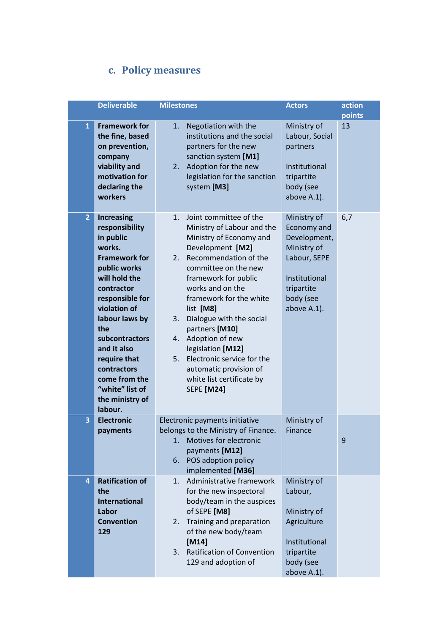### **c. Policy measures**

|                | <b>Deliverable</b>                                                                                                                                                                                                                                                                                                              | <b>Milestones</b>                                                                                                                                                                                                                                                                                                                                                                                                                                                      | <b>Actors</b>                                                                                                                        | action<br>points |
|----------------|---------------------------------------------------------------------------------------------------------------------------------------------------------------------------------------------------------------------------------------------------------------------------------------------------------------------------------|------------------------------------------------------------------------------------------------------------------------------------------------------------------------------------------------------------------------------------------------------------------------------------------------------------------------------------------------------------------------------------------------------------------------------------------------------------------------|--------------------------------------------------------------------------------------------------------------------------------------|------------------|
| $\mathbf{1}$   | <b>Framework for</b><br>the fine, based<br>on prevention,<br>company<br>viability and<br>motivation for<br>declaring the<br>workers                                                                                                                                                                                             | Negotiation with the<br>1.<br>institutions and the social<br>partners for the new<br>sanction system [M1]<br>Adoption for the new<br>2.<br>legislation for the sanction<br>system [M3]                                                                                                                                                                                                                                                                                 | Ministry of<br>Labour, Social<br>partners<br>Institutional<br>tripartite<br>body (see<br>above A.1).                                 | 13               |
| $\overline{2}$ | <b>Increasing</b><br>responsibility<br>in public<br>works.<br><b>Framework for</b><br>public works<br>will hold the<br>contractor<br>responsible for<br>violation of<br>labour laws by<br>the<br>subcontractors<br>and it also<br>require that<br>contractors<br>come from the<br>"white" list of<br>the ministry of<br>labour. | Joint committee of the<br>1.<br>Ministry of Labour and the<br>Ministry of Economy and<br>Development [M2]<br>Recommendation of the<br>2.<br>committee on the new<br>framework for public<br>works and on the<br>framework for the white<br>list [M8]<br>Dialogue with the social<br>3.<br>partners [M10]<br>Adoption of new<br>4.<br>legislation [M12]<br>Electronic service for the<br>5.<br>automatic provision of<br>white list certificate by<br><b>SEPE</b> [M24] | Ministry of<br>Economy and<br>Development,<br>Ministry of<br>Labour, SEPE<br>Institutional<br>tripartite<br>body (see<br>above A.1). | 6,7              |
| 3              | <b>Electronic</b><br>payments                                                                                                                                                                                                                                                                                                   | Electronic payments initiative<br>belongs to the Ministry of Finance.<br>Motives for electronic<br>1.<br>payments [M12]<br>POS adoption policy<br>6.<br>implemented [M36]                                                                                                                                                                                                                                                                                              | Ministry of<br>Finance                                                                                                               | 9                |
| 4              | <b>Ratification of</b><br>the<br><b>International</b><br>Labor<br><b>Convention</b><br>129                                                                                                                                                                                                                                      | Administrative framework<br>1.<br>for the new inspectoral<br>body/team in the auspices<br>of SEPE [M8]<br>Training and preparation<br>2.<br>of the new body/team<br>[M14]<br><b>Ratification of Convention</b><br>3.<br>129 and adoption of                                                                                                                                                                                                                            | Ministry of<br>Labour,<br>Ministry of<br>Agriculture<br>Institutional<br>tripartite<br>body (see<br>above A.1).                      |                  |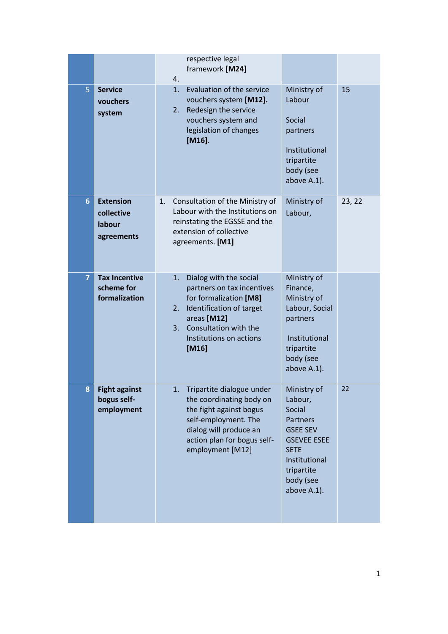|                |                                                        | respective legal<br>framework [M24]<br>4.                                                                                                                                                                |                                                                                                                                                                 |        |
|----------------|--------------------------------------------------------|----------------------------------------------------------------------------------------------------------------------------------------------------------------------------------------------------------|-----------------------------------------------------------------------------------------------------------------------------------------------------------------|--------|
| 5              | <b>Service</b><br>vouchers<br>system                   | 1.<br>Evaluation of the service<br>vouchers system [M12].<br>Redesign the service<br>2.<br>vouchers system and<br>legislation of changes<br>$[M16]$ .                                                    | Ministry of<br>Labour<br>Social<br>partners<br>Institutional<br>tripartite<br>body (see<br>above A.1).                                                          | 15     |
| $6\phantom{a}$ | <b>Extension</b><br>collective<br>labour<br>agreements | Consultation of the Ministry of<br>1.<br>Labour with the Institutions on<br>reinstating the EGSSE and the<br>extension of collective<br>agreements. [M1]                                                 | Ministry of<br>Labour,                                                                                                                                          | 23, 22 |
| $\overline{7}$ | <b>Tax Incentive</b><br>scheme for<br>formalization    | Dialog with the social<br>1.<br>partners on tax incentives<br>for formalization [M8]<br>Identification of target<br>2.<br>areas [M12]<br>Consultation with the<br>3.<br>Institutions on actions<br>[M16] | Ministry of<br>Finance,<br>Ministry of<br>Labour, Social<br>partners<br>Institutional<br>tripartite<br>body (see<br>above A.1).                                 |        |
| Ջ              | <b>Fight against</b><br>bogus self-<br>employment      | Tripartite dialogue under<br>1.<br>the coordinating body on<br>the fight against bogus<br>self-employment. The<br>dialog will produce an<br>action plan for bogus self-<br>employment [M12]              | Ministry of<br>Labour,<br>Social<br>Partners<br><b>GSEE SEV</b><br><b>GSEVEE ESEE</b><br><b>SETE</b><br>Institutional<br>tripartite<br>body (see<br>above A.1). | 22     |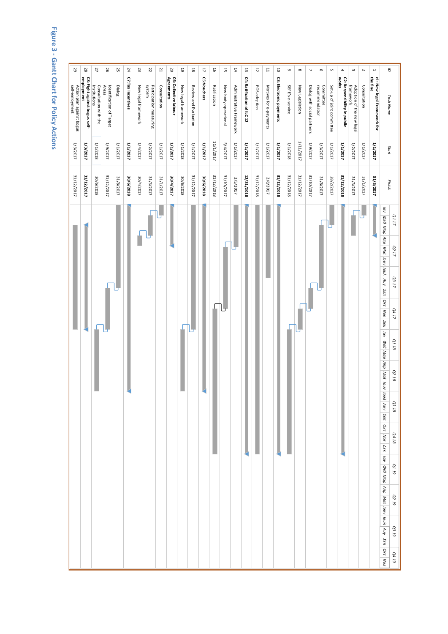# **Figure 3 - Gantt Chart for Policy Actions**

| 52                                          | 28                                          | 27                                    | 26                                | 25         | 24                | 23                  | 22                                | 21           | δ                                   | $6\,$               | $18\,$                | $\mathfrak{r}$ | 9            | 15                   | $14\,$                   | 13                         | $\frac{1}{2}$ | H                      | $\overline{\mathsf{o}}$ | $\mathbf 6$      | $\infty$        | $\overline{\phantom{a}}$    | G                           | C                         | $\blacktriangle$                      | $\omega$                               | $\sim$       | $\overline{a}$                          | g                                                                                                                                                                                                                                                                                                                                             |
|---------------------------------------------|---------------------------------------------|---------------------------------------|-----------------------------------|------------|-------------------|---------------------|-----------------------------------|--------------|-------------------------------------|---------------------|-----------------------|----------------|--------------|----------------------|--------------------------|----------------------------|---------------|------------------------|-------------------------|------------------|-----------------|-----------------------------|-----------------------------|---------------------------|---------------------------------------|----------------------------------------|--------------|-----------------------------------------|-----------------------------------------------------------------------------------------------------------------------------------------------------------------------------------------------------------------------------------------------------------------------------------------------------------------------------------------------|
| Action plan against bogus<br>self-emloyment | employment<br>C8: Fight against bogus self- | Institutions<br>Consultation with the | Identification of Target<br>Areas | Dialog     | C7:Tax Incentives | New legal framework | system<br>Participation measuring | Consultation | C6: Collective labour<br>Agreements | New legal framework | Review and Evaluation | C5:Vouchers    | Ratification | New body operational | Administrative Framework | C4: Ratification of ILC 12 | POS adoption  | Motives for e-payments | C3: Electronic payments | SEPE's e-service | New Legislation | Dialog with social partners | recommendation<br>Committee | Set-up of joint committee | C2: Responsibility in public<br>works | framework<br>Adoption of the new legal | Consultation | c1: New legal Framework for<br>the fine | <b>Task Name</b>                                                                                                                                                                                                                                                                                                                              |
| $1/3/2017$                                  | 1/3/2017                                    | $1/1/2018$                            | 1/9/2017                          | $1/1/2017$ | 1/1/2017          | 1/4/2017            | 1/2/2017                          | $1/1/2017$   | $1/1/2017$                          | $1/1/2018$          | $1/1/2017$            | $1/1/2017$     | 11/1/2017    | 5/4/2017             | $1/1/2017$               | 1/1/2017                   | $1/1/2017$    | $1/1/2017$             | 1/1/2017                | 1/1/2018         | 1/11/2017       | 1/9/2017                    | $1/3/2017$                  | 1/1/2017                  | 1/1/2017                              | $1/2/2017$                             | $1/1/2017$   | 1/102/11                                | Start                                                                                                                                                                                                                                                                                                                                         |
| 31/12/2017                                  | 31/12/2017                                  | 30/6/2018                             | 31/12/2017                        | 31/8/2017  | 30/6/2018         | 30/4/2017           | 31/3/2017                         | 31/1/2017    | 20/4/2017                           | 30/6/2018           | 31/12/2017            | 30/6/2018      | 31/12/2018   | 31/10/2017           | 3/5/2017                 | 12/31/2018                 | 31/12/2018    | 2/8/2017               | 31/12/2018              | 31/12/2018       | 31/12/2017      | 31/10/2017                  | 31/8/2017                   | 28/2/2017                 | 31/12/2018                            | 31/3/2017                              | 31/1/2017    | 31/3/2017                               | Finish                                                                                                                                                                                                                                                                                                                                        |
|                                             |                                             |                                       |                                   |            |                   |                     |                                   |              |                                     |                     |                       |                |              |                      |                          |                            |               |                        |                         |                  |                 |                             |                             |                           |                                       |                                        |              |                                         | lav<br>Q117<br>Deb Map Anp Mai Jouv Joul Auy Zen<br>Q2 17<br><b>Q317</b><br>Okt Noe Aek<br>Q4 17<br>iav Oe6 Map Arp Mai Iouv Ioul Auy Zert Ort Noe Aer Iav Oe6 Map Arp Mai Iouv Ioul Auy Zert Ort Ivoe<br>$\ensuremath{\text{Q}}\xspace_1$ 18<br>$\ensuremath{\mathcal{Q}}\xspace_2$ 18<br>Q3 18<br>Q4 18<br>61 19<br>67 TO<br>61 EO<br>61 tO |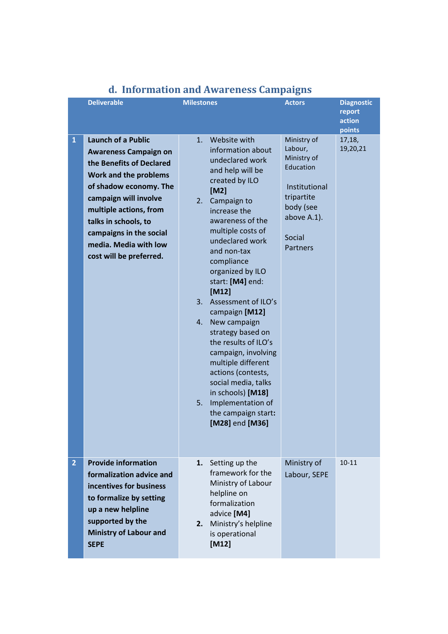|                | <b>Deliverable</b>                                                                                                                                                                                                                                                                                 | <b>Milestones</b>                                                                                                                                                                                                                                                                                                                                                                                                                                                                                                                                                                               | <b>Actors</b>                                                                                                                              | <b>Diagnostic</b><br>report<br>action<br>points |
|----------------|----------------------------------------------------------------------------------------------------------------------------------------------------------------------------------------------------------------------------------------------------------------------------------------------------|-------------------------------------------------------------------------------------------------------------------------------------------------------------------------------------------------------------------------------------------------------------------------------------------------------------------------------------------------------------------------------------------------------------------------------------------------------------------------------------------------------------------------------------------------------------------------------------------------|--------------------------------------------------------------------------------------------------------------------------------------------|-------------------------------------------------|
| $\mathbf{1}$   | <b>Launch of a Public</b><br><b>Awareness Campaign on</b><br>the Benefits of Declared<br>Work and the problems<br>of shadow economy. The<br>campaign will involve<br>multiple actions, from<br>talks in schools, to<br>campaigns in the social<br>media. Media with low<br>cost will be preferred. | Website with<br>1.<br>information about<br>undeclared work<br>and help will be<br>created by ILO<br>[M2]<br>Campaign to<br>2.<br>increase the<br>awareness of the<br>multiple costs of<br>undeclared work<br>and non-tax<br>compliance<br>organized by ILO<br>start: [M4] end:<br>$[M12]$<br>3.<br>Assessment of ILO's<br>campaign [M12]<br>New campaign<br>4.<br>strategy based on<br>the results of ILO's<br>campaign, involving<br>multiple different<br>actions (contests,<br>social media, talks<br>in schools) [M18]<br>Implementation of<br>5.<br>the campaign start:<br>[M28] end [M36] | Ministry of<br>Labour,<br>Ministry of<br>Education<br>Institutional<br>tripartite<br>body (see<br>above A.1).<br>Social<br><b>Partners</b> | 17,18,<br>19,20,21                              |
| $\overline{2}$ | <b>Provide information</b><br>formalization advice and<br>incentives for business<br>to formalize by setting<br>up a new helpline<br>supported by the<br><b>Ministry of Labour and</b><br><b>SEPE</b>                                                                                              | Setting up the<br>1.<br>framework for the<br>Ministry of Labour<br>helpline on<br>formalization<br>advice [M4]<br>Ministry's helpline<br>2.<br>is operational<br>$[M12]$                                                                                                                                                                                                                                                                                                                                                                                                                        | Ministry of<br>Labour, SEPE                                                                                                                | $10 - 11$                                       |

# **d. Information and Awareness Campaigns**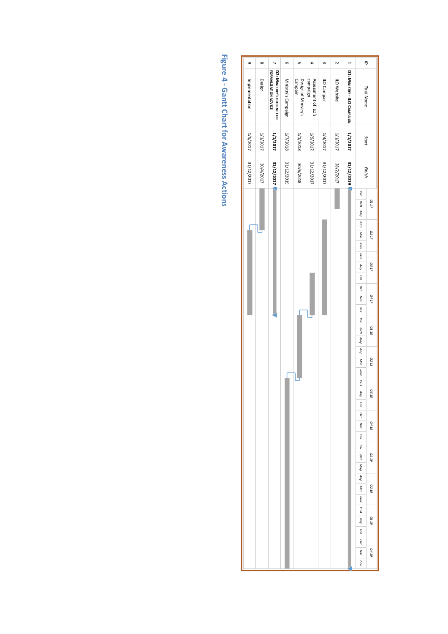| $\circ$        | $\infty$  | $\overline{ }$                                     | o                   | U1                              | 4                               | $\omega$    | N           | $\overline{a}$              | $\tilde{a}$                                   |  |
|----------------|-----------|----------------------------------------------------|---------------------|---------------------------------|---------------------------------|-------------|-------------|-----------------------------|-----------------------------------------------|--|
|                |           |                                                    |                     |                                 |                                 |             |             |                             |                                               |  |
| Implementation | Design    | FORMALIZATION ADVICE<br>D2: MINISTRY'S HOTLINE FOR | Ministry's Campaign | Design of Ministry's<br>Campain | campaign<br>Assessment of ILO's | ILO Campain | ILO Website | D1: MINISTRY - ILO CAMPAIGN | Task Name                                     |  |
| 1/5/2017       | 1/1/2017  | <b>1/1/2017</b>                                    | 1/7/2018            | 1/1/2018                        | 1/9/2017                        | 1/4/2017    | 1/2017      | <b>1/1/2017</b>             | Start                                         |  |
| 31/12/2017     | 30/4/2017 | 31/12/2017                                         | 31/12/2019          | 30/6/2018                       | 31/12/2017                      | 31/12/2017  | 28/2/2017   | 31/12/2019                  | Finish                                        |  |
|                |           |                                                    |                     |                                 |                                 |             |             |                             | lav<br>DeB Map Arip Mai<br>Q117               |  |
|                |           |                                                    |                     |                                 |                                 |             |             |                             | 02 17<br>louv loul                            |  |
|                |           |                                                    |                     |                                 |                                 |             |             |                             | Auy Isn<br>G3 17                              |  |
|                |           |                                                    |                     |                                 |                                 |             |             |                             | Okt Noe<br>Q417<br><b>AEK</b>                 |  |
|                |           |                                                    |                     |                                 |                                 |             |             |                             | lav<br>DeB Map<br>Q118                        |  |
|                |           |                                                    |                     |                                 |                                 |             |             |                             | duy<br>Mai louv loul<br>Q2 18                 |  |
|                |           |                                                    |                     |                                 |                                 |             |             |                             | G3 18<br>Any<br>Σεπ                           |  |
|                |           |                                                    |                     |                                 |                                 |             |             |                             | OKT<br>Q4 18<br>Noe<br>Aεĸ                    |  |
|                |           |                                                    |                     |                                 |                                 |             |             |                             | lav<br>61 10<br>$\sigma$ <sub>εβ</sub><br>Map |  |
|                |           |                                                    |                     |                                 |                                 |             |             |                             | ÅТρ<br><b>Q219</b><br>Maï<br>louv             |  |
|                |           |                                                    |                     |                                 |                                 |             |             |                             | louA<br><b>Q319</b><br>ЧU<br>Σ <i>επ</i>      |  |
|                |           |                                                    |                     |                                 |                                 |             |             |                             | Dкт<br>Q4 19<br>Noe<br>Δεκ                    |  |

**Figure 4 - Gantt Chart for Awareness Actions**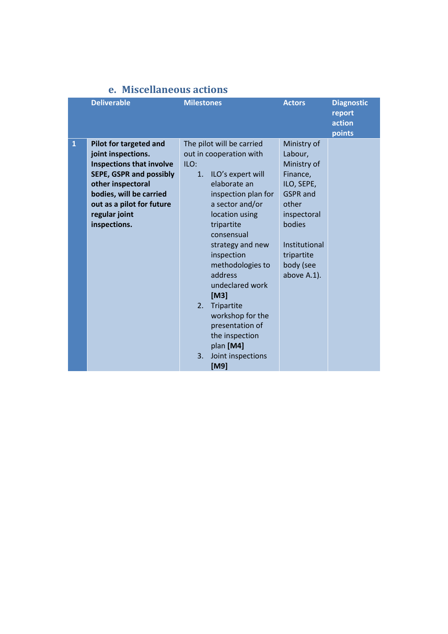|              | <b>Deliverable</b>                                                                                                                                                                                                              | <b>Milestones</b>                                                                                                                                                                                                                                                                                                                                                                                                        | <b>Actors</b>                                                                                                                                                                   | <b>Diagnostic</b><br>report<br>action<br>points |
|--------------|---------------------------------------------------------------------------------------------------------------------------------------------------------------------------------------------------------------------------------|--------------------------------------------------------------------------------------------------------------------------------------------------------------------------------------------------------------------------------------------------------------------------------------------------------------------------------------------------------------------------------------------------------------------------|---------------------------------------------------------------------------------------------------------------------------------------------------------------------------------|-------------------------------------------------|
| $\mathbf{1}$ | Pilot for targeted and<br>joint inspections.<br><b>Inspections that involve</b><br><b>SEPE, GSPR and possibly</b><br>other inspectoral<br>bodies, will be carried<br>out as a pilot for future<br>regular joint<br>inspections. | The pilot will be carried<br>out in cooperation with<br>ILO:<br>ILO's expert will<br>1.<br>elaborate an<br>inspection plan for<br>a sector and/or<br>location using<br>tripartite<br>consensual<br>strategy and new<br>inspection<br>methodologies to<br>address<br>undeclared work<br>[M3]<br>2.<br>Tripartite<br>workshop for the<br>presentation of<br>the inspection<br>plan [M4]<br>3.<br>Joint inspections<br>[M9] | Ministry of<br>Labour,<br>Ministry of<br>Finance,<br>ILO, SEPE,<br><b>GSPR</b> and<br>other<br>inspectoral<br>bodies<br>Institutional<br>tripartite<br>body (see<br>above A.1). |                                                 |

#### **e. Miscellaneous actions**